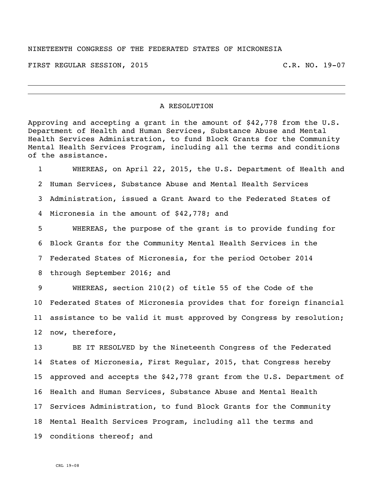## NINETEENTH CONGRESS OF THE FEDERATED STATES OF MICRONESIA

FIRST REGULAR SESSION, 2015 C.R. NO. 19-07

## A RESOLUTION

Approving and accepting a grant in the amount of \$42,778 from the U.S. Department of Health and Human Services, Substance Abuse and Mental Health Services Administration, to fund Block Grants for the Community Mental Health Services Program, including all the terms and conditions of the assistance.

 WHEREAS, on April 22, 2015, the U.S. Department of Health and Human Services, Substance Abuse and Mental Health Services Administration, issued a Grant Award to the Federated States of Micronesia in the amount of \$42,778; and WHEREAS, the purpose of the grant is to provide funding for

 Block Grants for the Community Mental Health Services in the Federated States of Micronesia, for the period October 2014 through September 2016; and

 WHEREAS, section 210(2) of title 55 of the Code of the Federated States of Micronesia provides that for foreign financial assistance to be valid it must approved by Congress by resolution; now, therefore,

 BE IT RESOLVED by the Nineteenth Congress of the Federated States of Micronesia, First Regular, 2015, that Congress hereby approved and accepts the \$42,778 grant from the U.S. Department of Health and Human Services, Substance Abuse and Mental Health Services Administration, to fund Block Grants for the Community Mental Health Services Program, including all the terms and conditions thereof; and